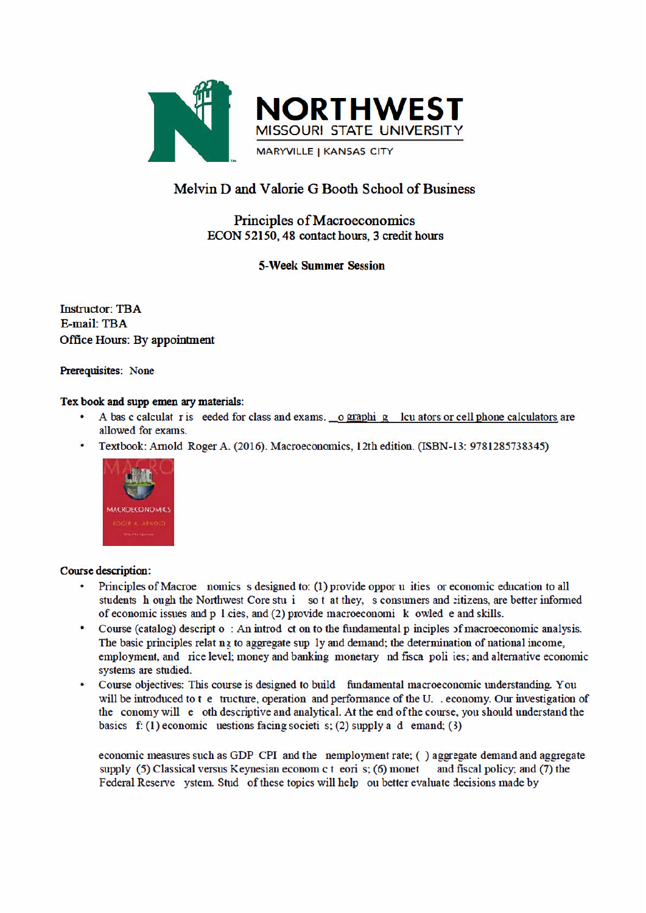

# Melvin D and Valorie G Booth School of Business

## **Principles of Macroeconomics** ECON 52150, 48 contact hours, 3 credit hours

### **5-Week Summer Session**

**Instructor: TBA** E-mail: TBA **Office Hours: By appointment** 

#### Prerequisites: None

#### Tex book and supp emen ary materials:

- A bas c calculat r is eeded for class and exams. o graphi g lcu ators or cell phone calculators are allowed for exams.
- Textbook: Arnold Roger A. (2016). Macroeconomics, 12th edition. (ISBN-13: 9781285738345)  $\bullet$



#### **Course description:**

- Principles of Macroe nomics s designed to: (1) provide oppor u ities or economic education to all students h ough the Northwest Core stu i so t at they, s consumers and citizens, are better informed of economic issues and p 1 cies, and (2) provide macroeconomi k owled e and skills.
- $\bullet$ Course (catalog) descript  $o: An$  introd ct on to the fundamental  $p$  inciples of macroeconomic analysis. The basic principles relating to aggregate sup 1y and demand; the determination of national income. employment, and rice level; money and banking monetary nd fisca poli ies; and alternative economic systems are studied.
- $\bullet$ Course objectives: This course is designed to build fundamental macroeconomic understanding. You will be introduced to t e tructure, operation and performance of the U. . economy. Our investigation of the conomy will e oth descriptive and analytical. At the end of the course, you should understand the basics f: (1) economic uestions facing societi s; (2) supply a d emand; (3)

economic measures such as GDP CPI and the nemployment rate; () aggregate demand and aggregate supply (5) Classical versus Keynesian econom c t eori s; (6) monet and fiscal policy; and (7) the Federal Reserve ystem. Stud of these topics will help ou better evaluate decisions made by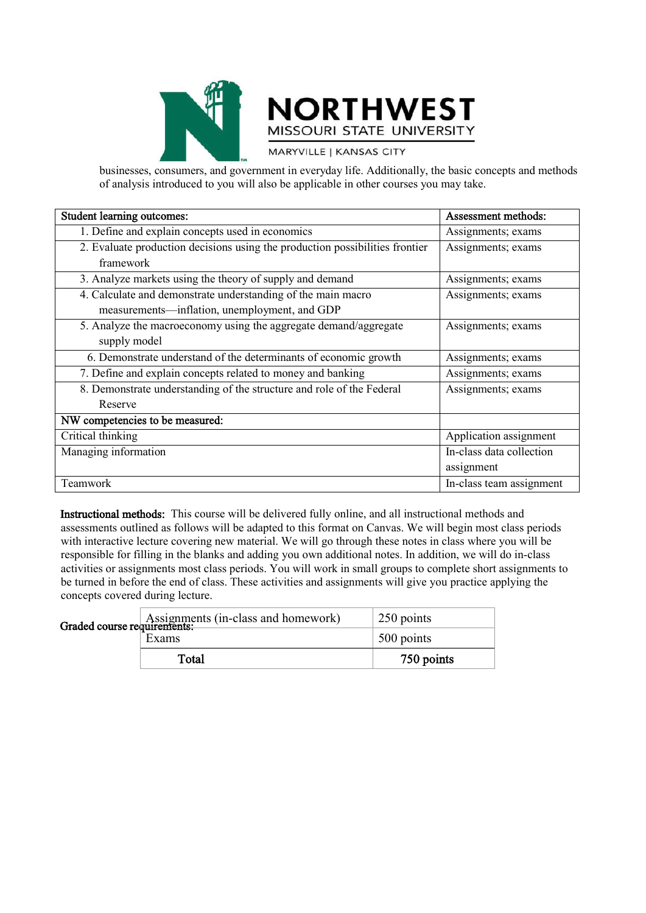



MARYVILLE | KANSAS CITY

businesses, consumers, and government in everyday life. Additionally, the basic concepts and methods of analysis introduced to you will also be applicable in other courses you may take.

| Student learning outcomes:                                                                                    | Assessment methods:      |
|---------------------------------------------------------------------------------------------------------------|--------------------------|
| 1. Define and explain concepts used in economics                                                              | Assignments; exams       |
| 2. Evaluate production decisions using the production possibilities frontier<br>framework                     | Assignments; exams       |
| 3. Analyze markets using the theory of supply and demand                                                      | Assignments; exams       |
| 4. Calculate and demonstrate understanding of the main macro<br>measurements—inflation, unemployment, and GDP | Assignments; exams       |
| 5. Analyze the macroeconomy using the aggregate demand/aggregate<br>supply model                              | Assignments; exams       |
| 6. Demonstrate understand of the determinants of economic growth                                              | Assignments; exams       |
| 7. Define and explain concepts related to money and banking                                                   | Assignments; exams       |
| 8. Demonstrate understanding of the structure and role of the Federal                                         | Assignments; exams       |
| Reserve                                                                                                       |                          |
| NW competencies to be measured:                                                                               |                          |
| Critical thinking                                                                                             | Application assignment   |
| Managing information                                                                                          | In-class data collection |
|                                                                                                               | assignment               |
| Teamwork                                                                                                      | In-class team assignment |

Instructional methods: This course will be delivered fully online, and all instructional methods and assessments outlined as follows will be adapted to this format on Canvas. We will begin most class periods with interactive lecture covering new material. We will go through these notes in class where you will be responsible for filling in the blanks and adding you own additional notes. In addition, we will do in-class activities or assignments most class periods. You will work in small groups to complete short assignments to be turned in before the end of class. These activities and assignments will give you practice applying the concepts covered during lecture.

|  | Assignments (in-class and homework)<br>Graded course requirements: | 250 points |
|--|--------------------------------------------------------------------|------------|
|  | Exams                                                              | 500 points |
|  | Total                                                              | 750 points |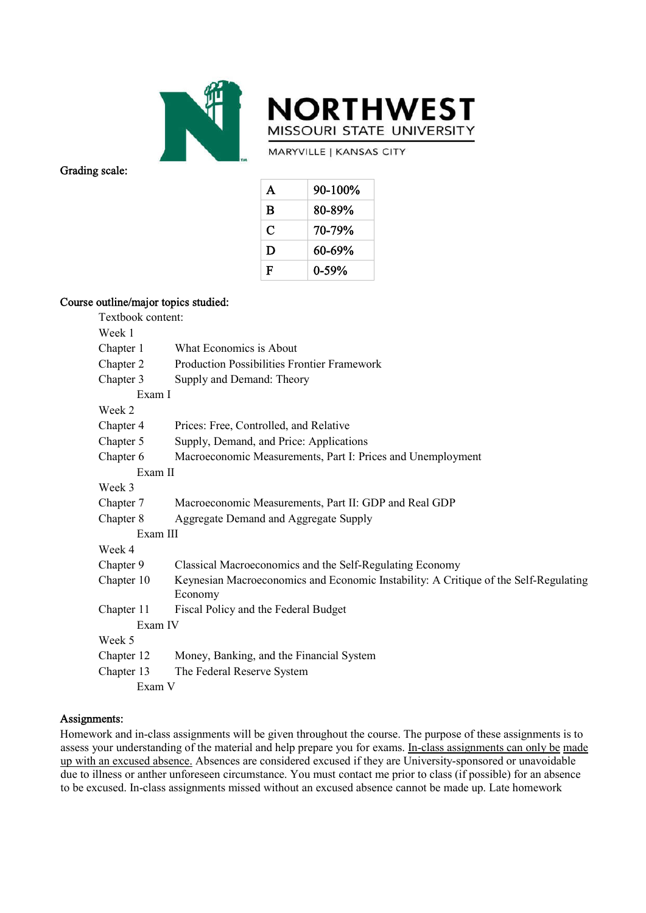



Grading scale:

MARYVILLE | KANSAS CITY

| A | 90-100% |
|---|---------|
| B | 80-89%  |
| C | 70-79%  |
| D | 60-69%  |
| F | 0-59%   |

### Course outline/major topics studied:

| Textbook content: |                                                                                                 |
|-------------------|-------------------------------------------------------------------------------------------------|
| Week 1            |                                                                                                 |
| Chapter 1         | What Economics is About                                                                         |
| Chapter 2         | <b>Production Possibilities Frontier Framework</b>                                              |
| Chapter 3         | Supply and Demand: Theory                                                                       |
| Exam I            |                                                                                                 |
| Week 2            |                                                                                                 |
| Chapter 4         | Prices: Free, Controlled, and Relative                                                          |
| Chapter 5         | Supply, Demand, and Price: Applications                                                         |
| Chapter 6         | Macroeconomic Measurements, Part I: Prices and Unemployment                                     |
| Exam II           |                                                                                                 |
| Week 3            |                                                                                                 |
| Chapter 7         | Macroeconomic Measurements, Part II: GDP and Real GDP                                           |
| Chapter 8         | Aggregate Demand and Aggregate Supply                                                           |
| Exam III          |                                                                                                 |
| Week 4            |                                                                                                 |
| Chapter 9         | Classical Macroeconomics and the Self-Regulating Economy                                        |
| Chapter 10        | Keynesian Macroeconomics and Economic Instability: A Critique of the Self-Regulating<br>Economy |
| Chapter 11        | Fiscal Policy and the Federal Budget                                                            |
| Exam IV           |                                                                                                 |
| Week 5            |                                                                                                 |
| Chapter 12        | Money, Banking, and the Financial System                                                        |
| Chapter 13        | The Federal Reserve System                                                                      |
| Exam V            |                                                                                                 |

#### Assignments:

Homework and in-class assignments will be given throughout the course. The purpose of these assignments is to assess your understanding of the material and help prepare you for exams. In-class assignments can only be made up with an excused absence. Absences are considered excused if they are University-sponsored or unavoidable due to illness or anther unforeseen circumstance. You must contact me prior to class (if possible) for an absence to be excused. In-class assignments missed without an excused absence cannot be made up. Late homework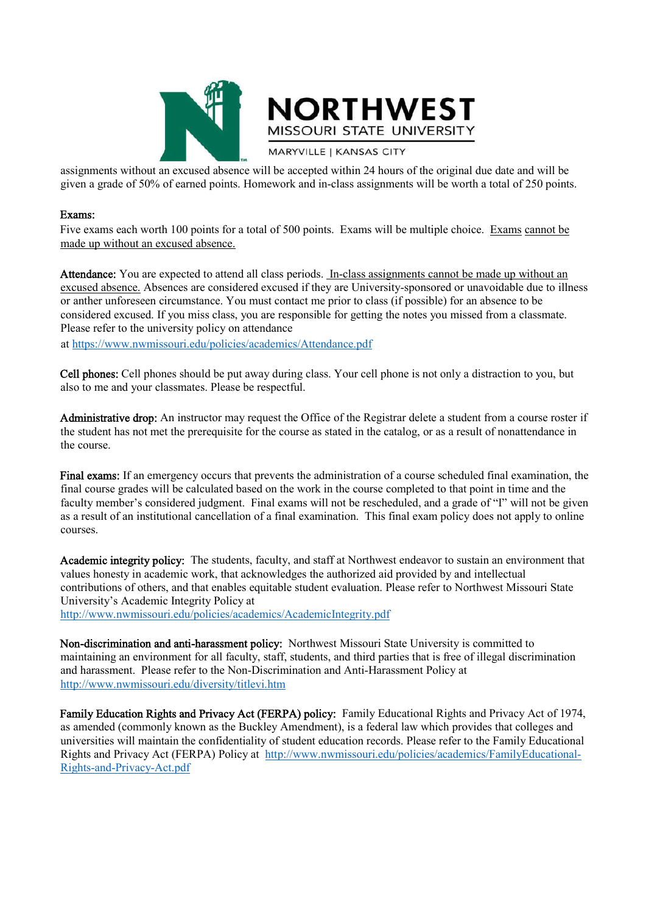



**MARYVILLE | KANSAS CITY** 

assignments without an excused absence will be accepted within 24 hours of the original due date and will be given a grade of 50% of earned points. Homework and in-class assignments will be worth a total of 250 points.

#### Exams:

Five exams each worth 100 points for a total of 500 points. Exams will be multiple choice. Exams cannot be made up without an excused absence.

Attendance: You are expected to attend all class periods. In-class assignments cannot be made up without an excused absence. Absences are considered excused if they are University-sponsored or unavoidable due to illness or anther unforeseen circumstance. You must contact me prior to class (if possible) for an absence to be considered excused. If you miss class, you are responsible for getting the notes you missed from a classmate. Please refer to the university policy on attendance

at https://www.nwmissouri.edu/policies/academics/Attendance.pdf

Cell phones: Cell phones should be put away during class. Your cell phone is not only a distraction to you, but also to me and your classmates. Please be respectful.

Administrative drop: An instructor may request the Office of the Registrar delete a student from a course roster if the student has not met the prerequisite for the course as stated in the catalog, or as a result of nonattendance in the course.

Final exams: If an emergency occurs that prevents the administration of a course scheduled final examination, the final course grades will be calculated based on the work in the course completed to that point in time and the faculty member's considered judgment. Final exams will not be rescheduled, and a grade of "I" will not be given as a result of an institutional cancellation of a final examination. This final exam policy does not apply to online courses.

Academic integrity policy: The students, faculty, and staff at Northwest endeavor to sustain an environment that values honesty in academic work, that acknowledges the authorized aid provided by and intellectual contributions of others, and that enables equitable student evaluation. Please refer to Northwest Missouri State University's Academic Integrity Policy at

http://www.nwmissouri.edu/policies/academics/AcademicIntegrity.pdf

Non-discrimination and anti-harassment policy: Northwest Missouri State University is committed to maintaining an environment for all faculty, staff, students, and third parties that is free of illegal discrimination and harassment. Please refer to the Non-Discrimination and Anti-Harassment Policy at http://www.nwmissouri.edu/diversity/titlevi.htm

Family Education Rights and Privacy Act (FERPA) policy: Family Educational Rights and Privacy Act of 1974, as amended (commonly known as the Buckley Amendment), is a federal law which provides that colleges and universities will maintain the confidentiality of student education records. Please refer to the Family Educational Rights and Privacy Act (FERPA) Policy at http://www.nwmissouri.edu/policies/academics/FamilyEducational-Rights-and-Privacy-Act.pdf